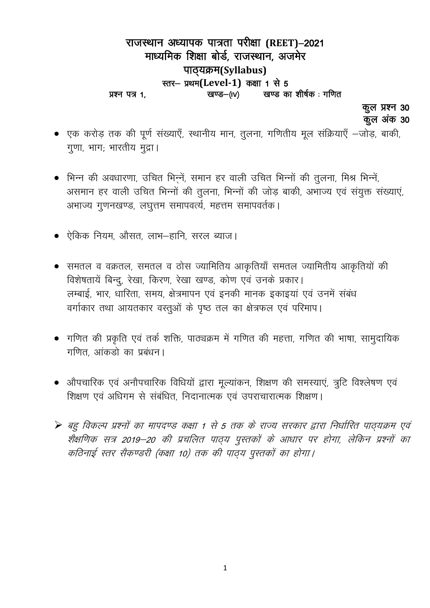## राजस्थान अध्यापक पात्रता परीक्षा (REET)-2021 माध्यमिक शिक्षा बोर्ड, राजस्थान, अजमेर पाठ्यक्रम(Syllabus) स्तर- प्रथम(Level-1) कक्षा 1 से 5 खण्ड का शीर्षक: गणित खण्ड—(IV) प्रश्न पत्र 1,

कूल प्रश्न 30 कूल अंक 30

- एक करोड़ तक की पूर्ण संख्याएँ, स्थानीय मान, तुलना, गणितीय मूल संक्रियाएँ –जोड़, बाकी, गूणा, भाग; भारतीय मुद्रा।
- भिन्न की अवधारणा, उचित भिन्नें, समान हर वाली उचित भिन्नों की तुलना, मिश्र भिन्नें, असमान हर वाली उचित भिन्नों की तुलना, भिन्नों की जोड़ बाकी, अभाज्य एवं संयुक्त संख्याएं, अभाज्य गुणनखण्ड, लघुत्तम समापवर्त्य, महत्तम समापवर्तक।
- ऐकिक नियम, औसत, लाभ-हानि, सरल ब्याज।
- समतल व वक्रतल, समतल व ठोस ज्यामितिय आकृतियाँ समतल ज्यामितीय आकृतियों की विशेषतायें बिन्दु, रेखा, किरण, रेखा खण्ड, कोण एवं उनके प्रकार। लम्बाई, भार, धारिता, समय, क्षेत्रमापन एवं इनकी मानक इकाइयां एवं उनमें संबंध वर्गाकार तथा आयतकार वस्तुओं के पृष्ठ तल का क्षेत्रफल एवं परिमाप।
- गणित की प्रकृति एवं तर्क शक्ति, पाठ्यक्रम में गणित की महत्ता, गणित की भाषा, सामुदायिक गणित, आंकडो का प्रबंधन।
- औपचारिक एवं अनौपचारिक विधियों द्वारा मूल्यांकन, शिक्षण की समस्याएं, त्रुटि विश्लेषण एवं शिक्षण एवं अधिगम से संबंधित, निदानात्मक एवं उपराचारात्मक शिक्षण।
- ▶ बहु विकल्प प्रश्नों का मापदण्ड कक्षा 1 से 5 तक के राज्य सरकार द्वारा निर्धारित पाठ्यक्रम एवं शैक्षणिक सत्र 2019–20 की प्रचलित पाठ्य पुस्तकों के आधार पर होगा, लेकिन प्रश्नों का कठिनाई स्तर सैकण्डरी (कक्षा 10) तक की पाठ्य पुस्तकों का होगा।